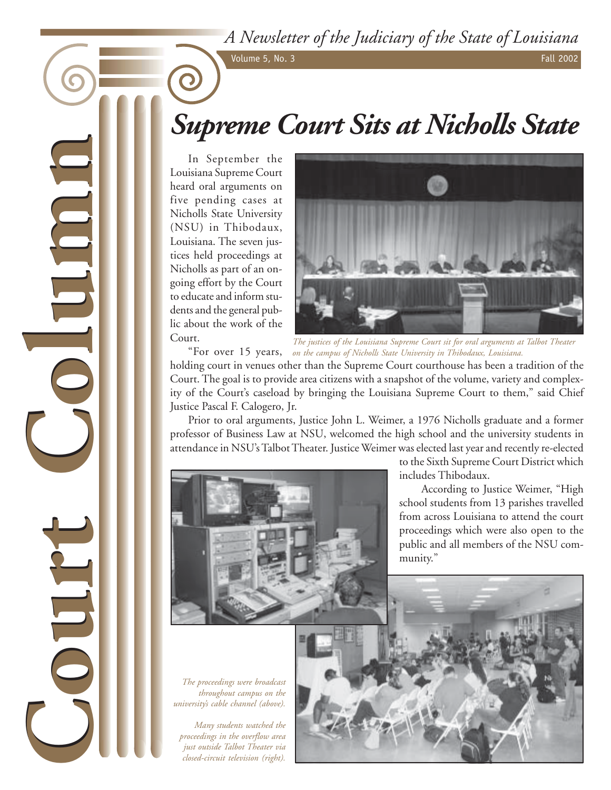*A Newsletter of the Judiciary of the State of Louisiana*

Volume 5, No. 3 Fall 2002

# *Supreme Court Sits at Nicholls State*

In September the Louisiana Supreme Court heard oral arguments on five pending cases at Nicholls State University (NSU) in Thibodaux, Louisiana. The seven justices held proceedings at Nicholls as part of an ongoing effort by the Court to educate and inform students and the general public about the work of the Court. "For over 15 years,

**Court Column**

**Court Column**

DULTE



*The justices of the Louisiana Supreme Court sit for oral arguments at Talbot Theater on the campus of Nicholls State University in Thibodaux, Louisiana.*

holding court in venues other than the Supreme Court courthouse has been a tradition of the Court. The goal is to provide area citizens with a snapshot of the volume, variety and complexity of the Court's caseload by bringing the Louisiana Supreme Court to them," said Chief Justice Pascal F. Calogero, Jr.

Prior to oral arguments, Justice John L. Weimer, a 1976 Nicholls graduate and a former professor of Business Law at NSU, welcomed the high school and the university students in attendance in NSU's Talbot Theater. Justice Weimer was elected last year and recently re-elected



to the Sixth Supreme Court District which includes Thibodaux.

According to Justice Weimer, "High school students from 13 parishes travelled from across Louisiana to attend the court proceedings which were also open to the public and all members of the NSU community."

 *The proceedings were broadcast throughout campus on the university's cable channel (above).*

*Many students watched the proceedings in the overflow area just outside Talbot Theater via closed-circuit television (right).*

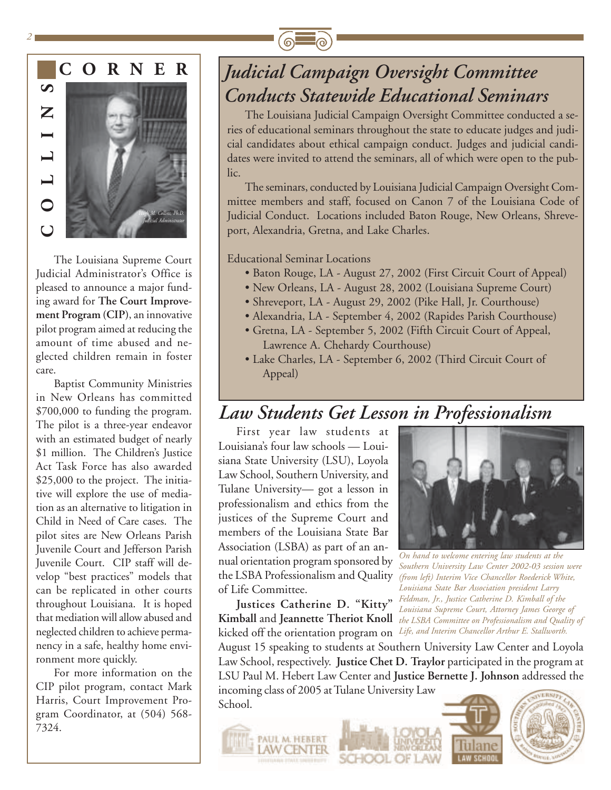



*2*



The Louisiana Supreme Court Judicial Administrator's Office is pleased to announce a major funding award for **The Court Improvement Program (CIP)**, an innovative pilot program aimed at reducing the amount of time abused and neglected children remain in foster care.

Baptist Community Ministries in New Orleans has committed \$700,000 to funding the program. The pilot is a three-year endeavor with an estimated budget of nearly \$1 million. The Children's Justice Act Task Force has also awarded \$25,000 to the project. The initiative will explore the use of mediation as an alternative to litigation in Child in Need of Care cases. The pilot sites are New Orleans Parish Juvenile Court and Jefferson Parish Juvenile Court. CIP staff will develop "best practices" models that can be replicated in other courts throughout Louisiana. It is hoped that mediation will allow abused and neglected children to achieve permanency in a safe, healthy home environment more quickly.

For more information on the CIP pilot program, contact Mark Harris, Court Improvement Program Coordinator, at (504) 568- 7324.

## *Judicial Campaign Oversight Committee Conducts Statewide Educational Seminars*

The Louisiana Judicial Campaign Oversight Committee conducted a series of educational seminars throughout the state to educate judges and judicial candidates about ethical campaign conduct. Judges and judicial candidates were invited to attend the seminars, all of which were open to the public.

The seminars, conducted by Louisiana Judicial Campaign Oversight Committee members and staff, focused on Canon 7 of the Louisiana Code of Judicial Conduct. Locations included Baton Rouge, New Orleans, Shreveport, Alexandria, Gretna, and Lake Charles.

Educational Seminar Locations

- Baton Rouge, LA August 27, 2002 (First Circuit Court of Appeal)
- New Orleans, LA August 28, 2002 (Louisiana Supreme Court)
- Shreveport, LA August 29, 2002 (Pike Hall, Jr. Courthouse)
- Alexandria, LA September 4, 2002 (Rapides Parish Courthouse)
- Gretna, LA September 5, 2002 (Fifth Circuit Court of Appeal, Lawrence A. Chehardy Courthouse)
- Lake Charles, LA September 6, 2002 (Third Circuit Court of Appeal)

### *Law Students Get Lesson in Professionalism*

First year law students at Louisiana's four law schools — Louisiana State University (LSU), Loyola Law School, Southern University, and Tulane University— got a lesson in professionalism and ethics from the justices of the Supreme Court and members of the Louisiana State Bar Association (LSBA) as part of an annual orientation program sponsored by the LSBA Professionalism and Quality of Life Committee.

**Justices Catherine D. "Kitty"** kicked off the orientation program on *Life, and Interim Chancellor Arthur E. Stallworth.*



**Kimball** and **Jeannette Theriot Knoll** *the LSBA Committee on Professionalism and Quality of On hand to welcome entering law students at the Southern University Law Center 2002-03 session were (from left) Interim Vice Chancellor Roederick White, Louisiana State Bar Association president Larry Feldman, Jr., Justice Catherine D. Kimball of the Louisiana Supreme Court, Attorney James George of*

August 15 speaking to students at Southern University Law Center and Loyola Law School, respectively. **Justice Chet D. Traylor** participated in the program at LSU Paul M. Hebert Law Center and **Justice Bernette J. Johnson** addressed the

incoming class of 2005 at Tulane University Law School.

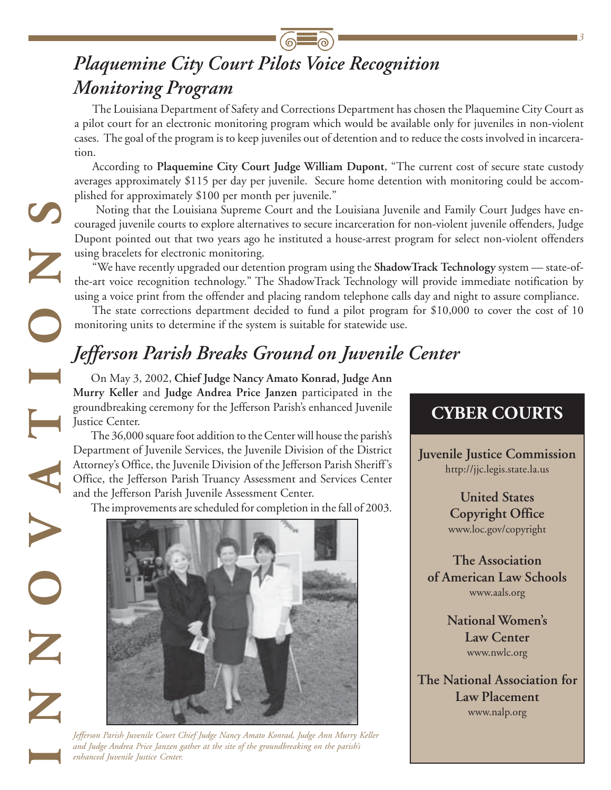## *Plaquemine City Court Pilots Voice Recognition Monitoring Program*

The Louisiana Department of Safety and Corrections Department has chosen the Plaquemine City Court as a pilot court for an electronic monitoring program which would be available only for juveniles in non-violent cases. The goal of the program is to keep juveniles out of detention and to reduce the costs involved in incarceration.

According to **Plaquemine City Court Judge William Dupont**, "The current cost of secure state custody averages approximately \$115 per day per juvenile. Secure home detention with monitoring could be accomplished for approximately \$100 per month per juvenile."

Noting that the Louisiana Supreme Court and the Louisiana Juvenile and Family Court Judges have encouraged juvenile courts to explore alternatives to secure incarceration for non-violent juvenile offenders, Judge Dupont pointed out that two years ago he instituted a house-arrest program for select non-violent offenders using bracelets for electronic monitoring.

"We have recently upgraded our detention program using the **ShadowTrack Technology** system — state-ofthe-art voice recognition technology." The ShadowTrack Technology will provide immediate notification by using a voice print from the offender and placing random telephone calls day and night to assure compliance.

The state corrections department decided to fund a pilot program for \$10,000 to cover the cost of 10 monitoring units to determine if the system is suitable for statewide use.

## *Jefferson Parish Breaks Ground on Juvenile Center*

On May 3, 2002, **Chief Judge Nancy Amato Konrad, Judge Ann Murry Keller** and **Judge Andrea Price Janzen** participated in the groundbreaking ceremony for the Jefferson Parish's enhanced Juvenile Justice Center.

The 36,000 square foot addition to the Center will house the parish's Department of Juvenile Services, the Juvenile Division of the District Attorney's Office, the Juvenile Division of the Jefferson Parish Sheriff's Office, the Jefferson Parish Truancy Assessment and Services Center and the Jefferson Parish Juvenile Assessment Center.

**INNOVATIONS**

Z<br>Z

The improvements are scheduled for completion in the fall of 2003.



*Jefferson Parish Juvenile Court Chief Judge Nancy Amato Konrad, Judge Ann Murry Keller and Judge Andrea Price Janzen gather at the site of the groundbreaking on the parish's enhanced Juvenile Justice Center.*

### **CYBER COURTS**

*3*

**Juvenile Justice Commission** http://jjc.legis.state.la.us

> **United States Copyright Office** www.loc.gov/copyright

**The Association of American Law Schools** www.aals.org

> **National Women's Law Center** www.nwlc.org

**The National Association for Law Placement** www.nalp.org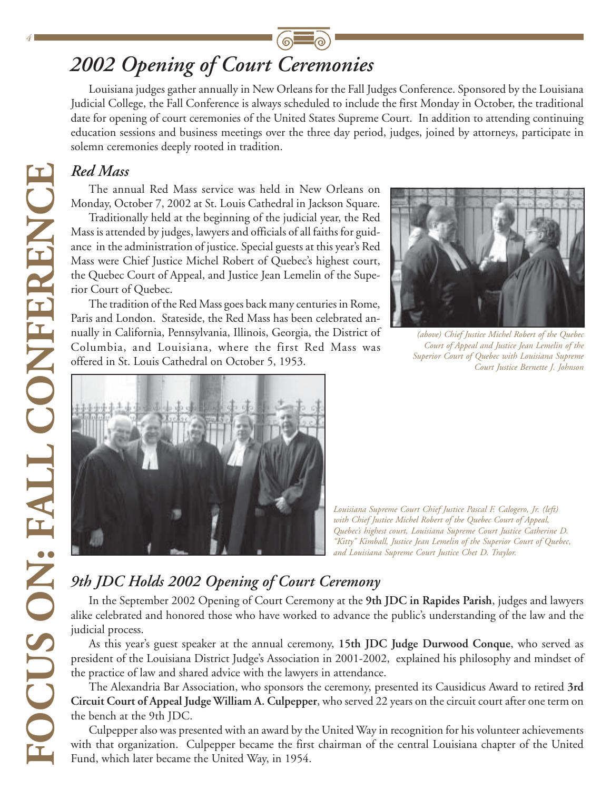## *2002 Opening of Court Ceremonies*

Louisiana judges gather annually in New Orleans for the Fall Judges Conference. Sponsored by the Louisiana Judicial College, the Fall Conference is always scheduled to include the first Monday in October, the traditional date for opening of court ceremonies of the United States Supreme Court. In addition to attending continuing education sessions and business meetings over the three day period, judges, joined by attorneys, participate in solemn ceremonies deeply rooted in tradition.

#### *Red Mass*

The annual Red Mass service was held in New Orleans on Monday, October 7, 2002 at St. Louis Cathedral in Jackson Square.

Traditionally held at the beginning of the judicial year, the Red Mass is attended by judges, lawyers and officials of all faiths for guidance in the administration of justice. Special guests at this year's Red Mass were Chief Justice Michel Robert of Quebec's highest court, the Quebec Court of Appeal, and Justice Jean Lemelin of the Superior Court of Quebec.

The tradition of the Red Mass goes back many centuries in Rome, Paris and London. Stateside, the Red Mass has been celebrated annually in California, Pennsylvania, Illinois, Georgia, the District of Columbia, and Louisiana, where the first Red Mass was offered in St. Louis Cathedral on October 5, 1953.



*(above) Chief Justice Michel Robert of the Quebec Court of Appeal and Justice Jean Lemelin of the Superior Court of Quebec with Louisiana Supreme Court Justice Bernette J. Johnson*



*Louisiana Supreme Court Chief Justice Pascal F. Calogero, Jr. (left) with Chief Justice Michel Robert of the Quebec Court of Appeal, Quebec's highest court, Louisiana Supreme Court Justice Catherine D. "Kitty" Kimball, Justice Jean Lemelin of the Superior Court of Quebec, and Louisiana Supreme Court Justice Chet D. Traylor.*

### *9th JDC Holds 2002 Opening of Court Ceremony*

In the September 2002 Opening of Court Ceremony at the **9th JDC in Rapides Parish**, judges and lawyers alike celebrated and honored those who have worked to advance the public's understanding of the law and the judicial process.

As this year's guest speaker at the annual ceremony, **15th JDC Judge Durwood Conque**, who served as president of the Louisiana District Judge's Association in 2001-2002, explained his philosophy and mindset of the practice of law and shared advice with the lawyers in attendance.

The Alexandria Bar Association, who sponsors the ceremony, presented its Causidicus Award to retired **3rd Circuit Court of Appeal Judge William A. Culpepper**, who served 22 years on the circuit court after one term on the bench at the 9th JDC.

Culpepper also was presented with an award by the United Way in recognition for his volunteer achievements with that organization. Culpepper became the first chairman of the central Louisiana chapter of the United Fund, which later became the United Way, in 1954.

*4*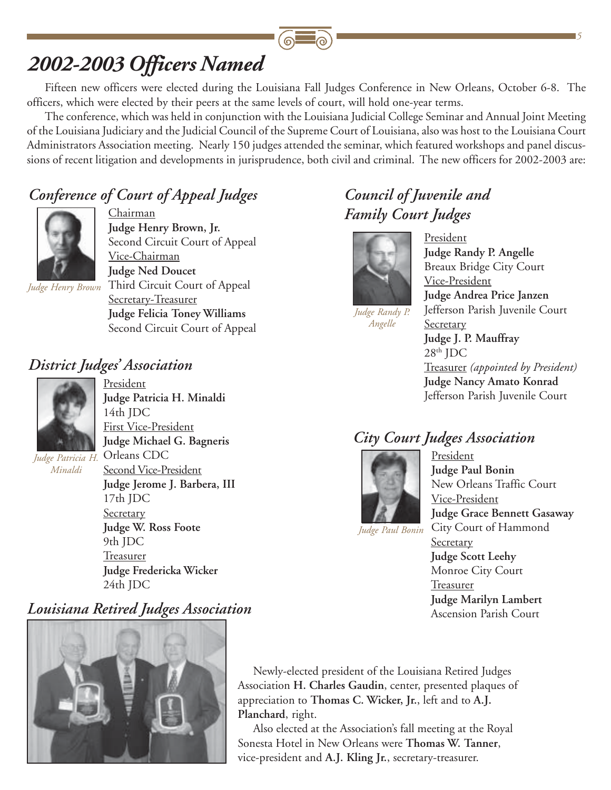## *2002-2003 Officers Named*

Fifteen new officers were elected during the Louisiana Fall Judges Conference in New Orleans, October 6-8. The officers, which were elected by their peers at the same levels of court, will hold one-year terms.

The conference, which was held in conjunction with the Louisiana Judicial College Seminar and Annual Joint Meeting of the Louisiana Judiciary and the Judicial Council of the Supreme Court of Louisiana, also was host to the Louisiana Court Administrators Association meeting. Nearly 150 judges attended the seminar, which featured workshops and panel discussions of recent litigation and developments in jurisprudence, both civil and criminal. The new officers for 2002-2003 are:

#### *Conference of Court of Appeal Judges*



Chairman **Judge Henry Brown, Jr.** Second Circuit Court of Appeal Vice-Chairman **Judge Ned Doucet** Third Circuit Court of Appeal *Judge Henry Brown* Secretary-Treasurer **Judge Felicia Toney Williams** Second Circuit Court of Appeal

#### *District Judges' Association*



President **Judge Patricia H. Minaldi** 14th JDC First Vice-President **Judge Michael G. Bagneris** Orleans CDC Second Vice-President

*Judge Patricia H. Minaldi*

**Judge Jerome J. Barbera, III** 17th JDC **Secretary Judge W. Ross Foote** 9th JDC Treasurer **Judge Fredericka Wicker** 24th JDC

#### *Louisiana Retired Judges Association*



#### *Council of Juvenile and Family Court Judges*



*Judge Randy P. Angelle*

President **Judge Randy P. Angelle** Breaux Bridge City Court Vice-President **Judge Andrea Price Janzen** Jefferson Parish Juvenile Court Secretary **Judge J. P. Mauffray**  $28<sup>th</sup>$  JDC Treasurer *(appointed by President)* **Judge Nancy Amato Konrad** Jefferson Parish Juvenile Court

*5*

#### *City Court Judges Association*



**President Judge Paul Bonin** New Orleans Traffic Court Vice-President **Judge Grace Bennett Gasaway** City Court of Hammond **Secretary Judge Scott Leehy** Monroe City Court **Treasurer Judge Marilyn Lambert** Ascension Parish Court

*Judge Paul Bonin*

Newly-elected president of the Louisiana Retired Judges Association **H. Charles Gaudin**, center, presented plaques of appreciation to **Thomas C. Wicker, Jr.**, left and to **A.J. Planchard**, right.

Also elected at the Association's fall meeting at the Royal Sonesta Hotel in New Orleans were **Thomas W. Tanner**, vice-president and **A.J. Kling Jr.**, secretary-treasurer.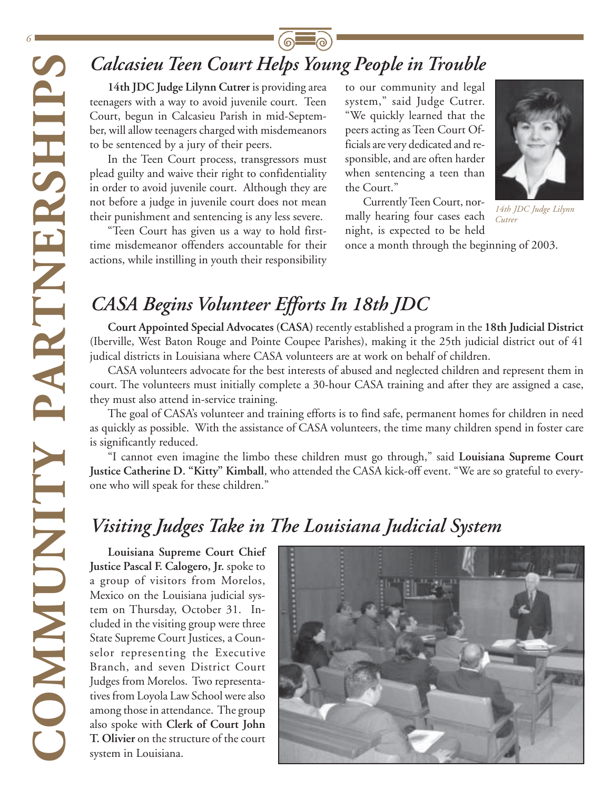*6*

## *Calcasieu Teen Court Helps Young People in Trouble*

**14th JDC Judge Lilynn Cutrer** is providing area teenagers with a way to avoid juvenile court. Teen Court, begun in Calcasieu Parish in mid-September, will allow teenagers charged with misdemeanors to be sentenced by a jury of their peers.

In the Teen Court process, transgressors must plead guilty and waive their right to confidentiality in order to avoid juvenile court. Although they are not before a judge in juvenile court does not mean their punishment and sentencing is any less severe.

"Teen Court has given us a way to hold firsttime misdemeanor offenders accountable for their actions, while instilling in youth their responsibility

to our community and legal system," said Judge Cutrer. "We quickly learned that the peers acting as Teen Court Officials are very dedicated and responsible, and are often harder when sentencing a teen than the Court."

Currently Teen Court, normally hearing four cases each night, is expected to be held



*14th JDC Judge Lilynn Cutrer*

once a month through the beginning of 2003.

## *CASA Begins Volunteer Efforts In 18th JDC*

**Court Appointed Special Advocates (CASA)** recently established a program in the **18th Judicial District** (Iberville, West Baton Rouge and Pointe Coupee Parishes), making it the 25th judicial district out of 41 judical districts in Louisiana where CASA volunteers are at work on behalf of children.

CASA volunteers advocate for the best interests of abused and neglected children and represent them in court. The volunteers must initially complete a 30-hour CASA training and after they are assigned a case, they must also attend in-service training.

The goal of CASA's volunteer and training efforts is to find safe, permanent homes for children in need as quickly as possible. With the assistance of CASA volunteers, the time many children spend in foster care is significantly reduced.

"I cannot even imagine the limbo these children must go through," said **Louisiana Supreme Court Justice Catherine D. "Kitty" Kimball**, who attended the CASA kick-off event. "We are so grateful to everyone who will speak for these children."

### *Visiting Judges Take in The Louisiana Judicial System*

**CALCASIEU The COMPACT CONSECT (CONSECT)**<br> **CONSECT TO THE CONSECT (CONSECT)**<br>
COUR, began in Calcasieu Parish in<br>
the secretic by a jury of their peer<br>
In the Tech Court process, transpelled guilty and wave their right to **Justice Pascal F. Calogero, Jr.** spoke to a group of visitors from Morelos, Mexico on the Louisiana judicial system on Thursday, October 31. Included in the visiting group were three State Supreme Court Justices, a Counselor representing the Executive Branch, and seven District Court Judges from Morelos. Two representatives from Loyola Law School were also among those in attendance. The group also spoke with **Clerk of Court John T. Olivier** on the structure of the court system in Louisiana.

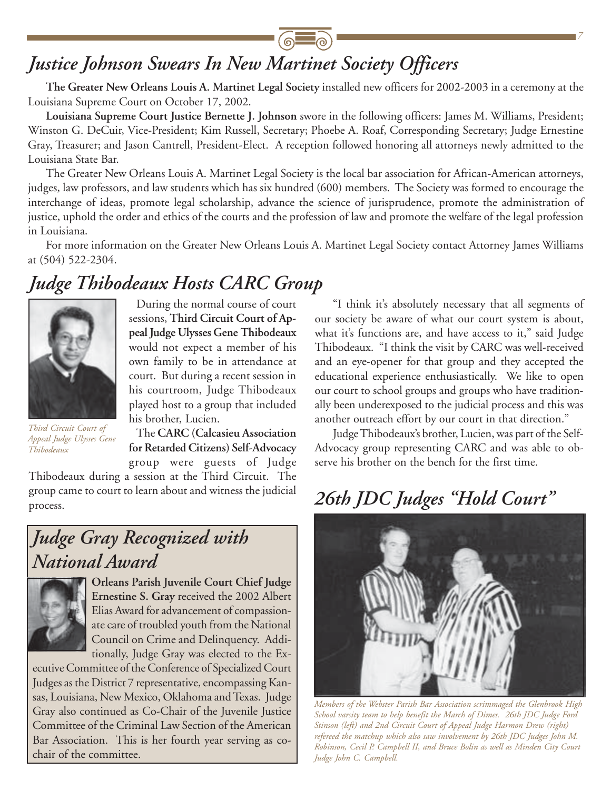### *Justice Johnson Swears In New Martinet Society Officers*

**The Greater New Orleans Louis A. Martinet Legal Society** installed new officers for 2002-2003 in a ceremony at the Louisiana Supreme Court on October 17, 2002.

**Louisiana Supreme Court Justice Bernette J. Johnson** swore in the following officers: James M. Williams, President; Winston G. DeCuir, Vice-President; Kim Russell, Secretary; Phoebe A. Roaf, Corresponding Secretary; Judge Ernestine Gray, Treasurer; and Jason Cantrell, President-Elect. A reception followed honoring all attorneys newly admitted to the Louisiana State Bar.

The Greater New Orleans Louis A. Martinet Legal Society is the local bar association for African-American attorneys, judges, law professors, and law students which has six hundred (600) members. The Society was formed to encourage the interchange of ideas, promote legal scholarship, advance the science of jurisprudence, promote the administration of justice, uphold the order and ethics of the courts and the profession of law and promote the welfare of the legal profession in Louisiana.

For more information on the Greater New Orleans Louis A. Martinet Legal Society contact Attorney James Williams at (504) 522-2304.

### *Judge Thibodeaux Hosts CARC Group*



During the normal course of court sessions, **Third Circuit Court of Appeal Judge Ulysses Gene Thibodeaux** would not expect a member of his own family to be in attendance at court. But during a recent session in his courtroom, Judge Thibodeaux played host to a group that included his brother, Lucien.

*Third Circuit Court of Appeal Judge Ulysses Gene Thibodeaux*

The **CARC (Calcasieu Association for Retarded Citizens) Self-Advocacy** group were guests of Judge

Thibodeaux during a session at the Third Circuit. The group came to court to learn about and witness the judicial process.

### *Judge Gray Recognized with National Award*



**Orleans Parish Juvenile Court Chief Judge Ernestine S. Gray** received the 2002 Albert Elias Award for advancement of compassionate care of troubled youth from the National Council on Crime and Delinquency. Additionally, Judge Gray was elected to the Ex-

ecutive Committee of the Conference of Specialized Court Judges as the District 7 representative, encompassing Kansas, Louisiana, New Mexico, Oklahoma and Texas. Judge Gray also continued as Co-Chair of the Juvenile Justice Committee of the Criminal Law Section of the American Bar Association. This is her fourth year serving as cochair of the committee.

"I think it's absolutely necessary that all segments of our society be aware of what our court system is about, what it's functions are, and have access to it," said Judge Thibodeaux. "I think the visit by CARC was well-received and an eye-opener for that group and they accepted the educational experience enthusiastically. We like to open our court to school groups and groups who have traditionally been underexposed to the judicial process and this was another outreach effort by our court in that direction."

*7*

Judge Thibodeaux's brother, Lucien, was part of the Self-Advocacy group representing CARC and was able to observe his brother on the bench for the first time.

## *26th JDC Judges "Hold Court"*



*Members of the Webster Parish Bar Association scrimmaged the Glenbrook High School varsity team to help benefit the March of Dimes. 26th JDC Judge Ford Stinson (left) and 2nd Circuit Court of Appeal Judge Harmon Drew (right) refereed the matchup which also saw involvement by 26th JDC Judges John M. Robinson, Cecil P. Campbell II, and Bruce Bolin as well as Minden City Court Judge John C. Campbell.*